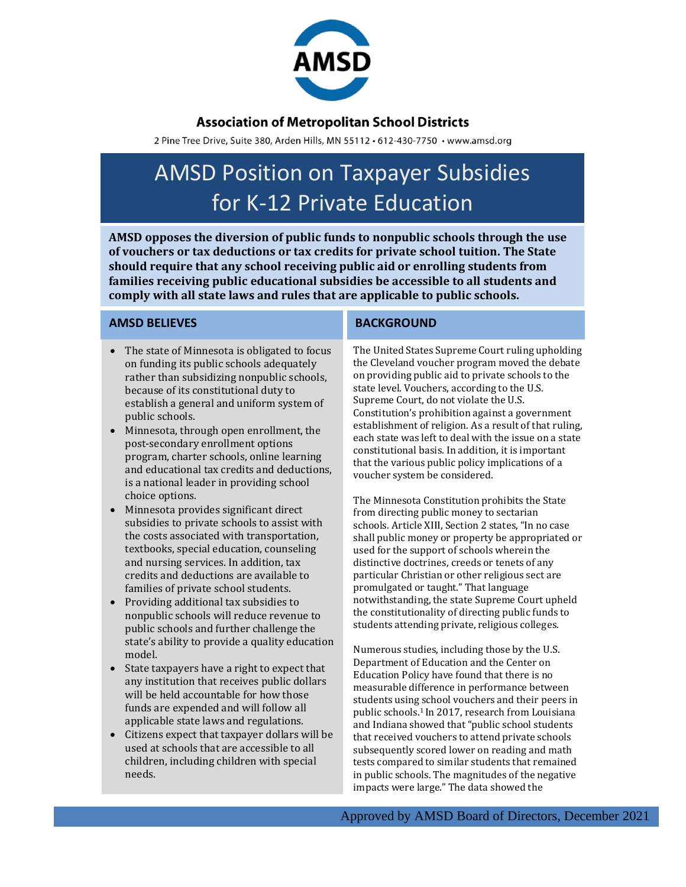

## **Association of Metropolitan School Districts**

2 Pine Tree Drive, Suite 380, Arden Hills, MN 55112 · 612-430-7750 · www.amsd.org

# AMSD Position on Taxpayer Subsidies for K-12 Private Education

**AMSD opposes the diversion of public funds to nonpublic schools through the use of vouchers or tax deductions or tax credits for private school tuition. The State should require that any school receiving public aid or enrolling students from families receiving public educational subsidies be accessible to all students and comply with all state laws and rules that are applicable to public schools.**

### **AMSD BELIEVES**

- The state of Minnesota is obligated to focus on funding its public schools adequately rather than subsidizing nonpublic schools, because of its constitutional duty to establish a general and uniform system of public schools.
- Minnesota, through open enrollment, the post-secondary enrollment options program, charter schools, online learning and educational tax credits and deductions, is a national leader in providing school choice options.
- Minnesota provides significant direct subsidies to private schools to assist with the costs associated with transportation, textbooks, special education, counseling and nursing services. In addition, tax credits and deductions are available to families of private school students.
- Providing additional tax subsidies to nonpublic schools will reduce revenue to public schools and further challenge the state's ability to provide a quality education model.
- State taxpayers have a right to expect that any institution that receives public dollars will be held accountable for how those funds are expended and will follow all applicable state laws and regulations.
- Citizens expect that taxpayer dollars will be used at schools that are accessible to all children, including children with special needs.

### **BACKGROUND**

The United States Supreme Court ruling upholding the Cleveland voucher program moved the debate on providing public aid to private schools to the state level. Vouchers, according to the U.S. Supreme Court, do not violate the U.S. Constitution's prohibition against a government establishment of religion. As a result of that ruling, each state was left to deal with the issue on a state constitutional basis. In addition, it is important that the various public policy implications of a voucher system be considered.

The Minnesota Constitution prohibits the State from directing public money to sectarian schools. Article XIII, Section 2 states, "In no case shall public money or property be appropriated or used for the support of schools wherein the distinctive doctrines, creeds or tenets of any particular Christian or other religious sect are promulgated or taught." That language notwithstanding, the state Supreme Court upheld the constitutionality of directing public funds to students attending private, religious colleges.

Numerous studies, including those by the U.S. Department of Education and the Center on Education Policy have found that there is no measurable difference in performance between students using school vouchers and their peers in public schools.1 In 2017, research from Louisiana and Indiana showed that "public school students that received vouchers to attend private schools subsequently scored lower on reading and math tests compared to similar students that remained in public schools. The magnitudes of the negative impacts were large." The data showed the